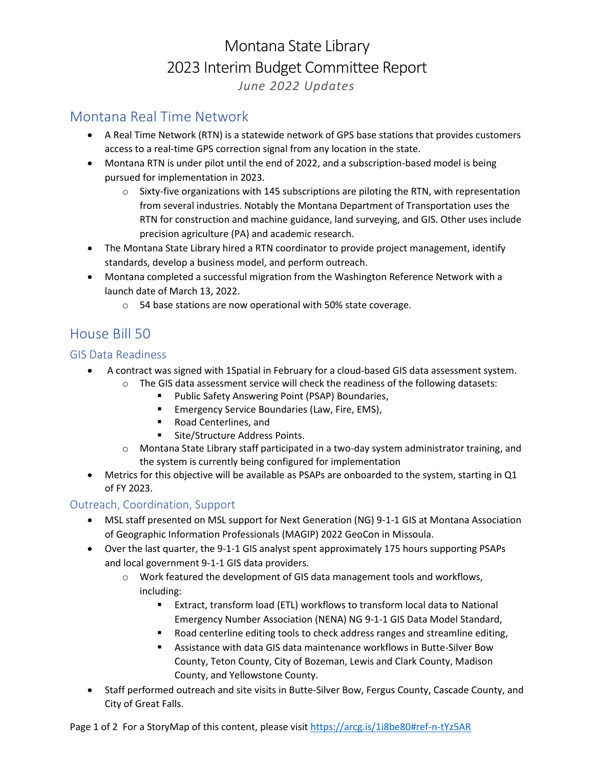# Montana State Library 2023 Interim Budget Committee Report *June 2022 Updates*

## Montana Real Time Network

- A Real Time Network (RTN) is a statewide network of GPS base stations that provides customers access to a real-time GPS correction signal from any location in the state.
- Montana RTN is under pilot until the end of 2022, and a subscription-based model is being pursued for implementation in 2023.
	- $\circ$  Sixty-five organizations with 145 subscriptions are piloting the RTN, with representation from several industries. Notably the Montana Department of Transportation uses the RTN for construction and machine guidance, land surveying, and GIS. Other uses include precision agriculture (PA) and academic research.
- The Montana State Library hired a RTN coordinator to provide project management, identify standards, develop a business model, and perform outreach.
- Montana completed a successful migration from the Washington Reference Network with a launch date of March 13, 2022.
	- o 54 base stations are now operational with 50% state coverage.

## House Bill 50

### GIS Data Readiness

- A contract was signed with 1Spatial in February for a cloud-based GIS data assessment system.
	- $\circ$  The GIS data assessment service will check the readiness of the following datasets:
		- Public Safety Answering Point (PSAP) Boundaries,
		- Emergency Service Boundaries (Law, Fire, EMS),
		- Road Centerlines, and
		- Site/Structure Address Points.
	- o Montana State Library staff participated in a two-day system administrator training, and the system is currently being configured for implementation
- Metrics for this objective will be available as PSAPs are onboarded to the system, starting in Q1 of FY 2023.

### Outreach, Coordination, Support

- MSL staff presented on MSL support for Next Generation (NG) 9-1-1 GIS at Montana Association of Geographic Information Professionals (MAGIP) 2022 GeoCon in Missoula.
- Over the last quarter, the 9-1-1 GIS analyst spent approximately 175 hours supporting PSAPs and local government 9-1-1 GIS data providers.
	- $\circ$  Work featured the development of GIS data management tools and workflows, including:
		- Extract, transform load (ETL) workflows to transform local data to National Emergency Number Association (NENA) NG 9-1-1 GIS Data Model Standard,
		- Road centerline editing tools to check address ranges and streamline editing,
		- Assistance with data GIS data maintenance workflows in Butte-Silver Bow County, Teton County, City of Bozeman, Lewis and Clark County, Madison County, and Yellowstone County.
- Staff performed outreach and site visits in Butte-Silver Bow, Fergus County, Cascade County, and City of Great Falls.